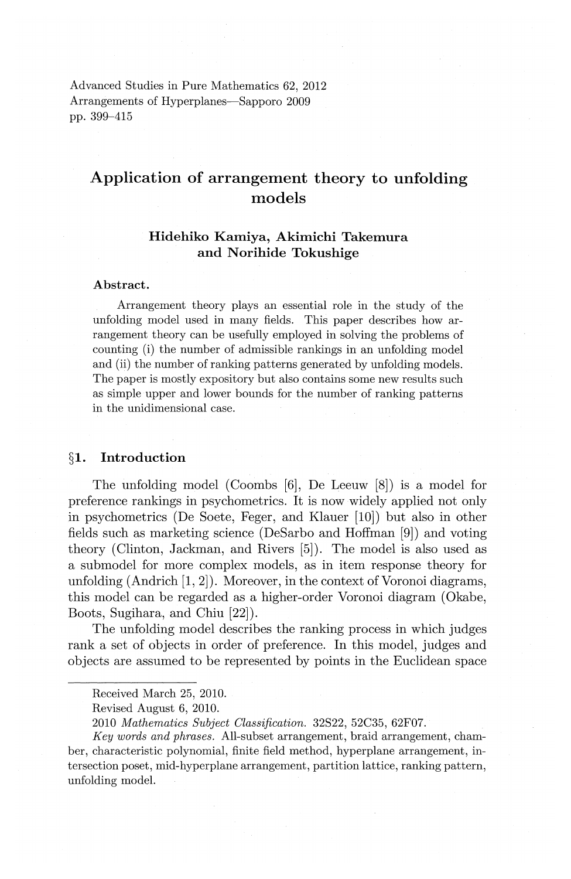Advanced Studies in Pure Mathematics 62, 2012 Arrangements of Hyperplanes—Sapporo 2009 pp. 399-415

# **Application of arrangement theory to unfolding models**

## **Hidehiko Kamiya, Akimichi Takemura**  and Norihide Tokushige

#### Abstract.

Arrangement theory plays an essential role in the study of the unfolding model used in many fields. This paper describes how arrangement theory can be usefully employed in solving the problems of counting (i) the number of admissible rankings in an unfolding model and (ii) the number of ranking patterns generated by unfolding models. The paper is mostly expository but also contains some new results such as simple upper and lower bounds for the number of ranking patterns in the unidimensional case.

## § **1. Introduction**

The unfolding model (Coombs [6], De Leeuw [8]) is a model for preference rankings in psychometrics. It is now widely applied not only in psychometrics (De Soete, Feger, and Klauer [10]) but also in other fields such as marketing science (DeSarbo and Hoffman [9]) and voting theory (Clinton, Jackman, and Rivers [5]). The model is also used as a submodel for more complex models, as in item response theory for unfolding  $(Andrich [1, 2])$ . Moreover, in the context of Voronoi diagrams, this model can be regarded as a higher-order Voronoi diagram (Okabe, Boots, Sugihara, and Chiu [22]).

The unfolding model describes the ranking process in which judges rank a set of objects in order of preference. In this model, judges and objects are assumed to be represented by points in the Euclidean space

Received March 25, 2010.

Revised August 6, 2010.

<sup>2010</sup> *Mathematics Subject Classification.* 32S22, 52C35, 62F07.

*Key words and phrases.* All-subset arrangement, braid arrangement, chamber, characteristic polynomial, finite field method, hyperplane arrangement, intersection poset, mid-hyperplane arrangement, partition lattice, ranking pattern, unfolding model.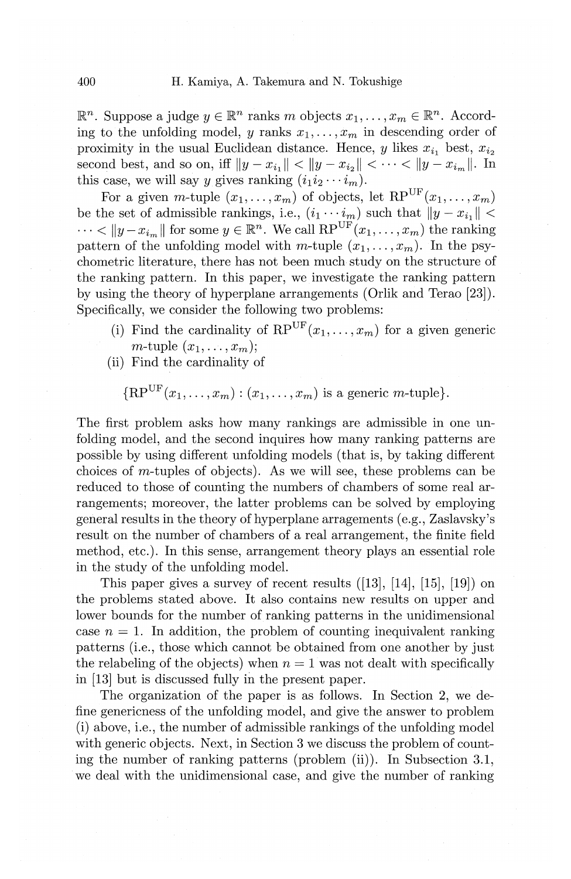$\mathbb{R}^n$ . Suppose a judge  $y \in \mathbb{R}^n$  ranks *m* objects  $x_1, \ldots, x_m \in \mathbb{R}^n$ . According to the unfolding model, y ranks  $x_1, \ldots, x_m$  in descending order of proximity in the usual Euclidean distance. Hence, y likes  $x_{i_1}$  best,  $x_{i_2}$ second best, and so on, iff  $||y - x_{i}|| < ||y - x_{i_2}|| < \cdots < ||y - x_{i_m}||$ . In this case, we will say y gives ranking  $(i_1i_2 \cdots i_m)$ .

For a given m-tuple  $(x_1, \ldots, x_m)$  of objects, let  $RP^{\text{UF}}(x_1, \ldots, x_m)$ be the set of admissible rankings, i.e.,  $(i_1 \cdots i_m)$  such that  $||y - x_{i_1}||$  <  $\cdots < ||y - x_{i_m}||$  for some  $y \in \mathbb{R}^n$ . We call  $\text{RP}^{\text{UF}}(x_1, \ldots, x_m)$  the ranking pattern of the unfolding model with m-tuple  $(x_1, \ldots, x_m)$ . In the psychometric literature, there has not been much study on the structure of the ranking pattern. In this paper, we investigate the ranking pattern by using the theory of hyperplane arrangements (Orlik and Terao [23]). Specifically, we consider the following two problems:

- (i) Find the cardinality of  $RP^{UF}(x_1, \ldots, x_m)$  for a given generic  $m$ -tuple  $(x_1, \ldots, x_m)$ ;
- (ii) Find the cardinality of

 ${R}P^{UF}(x_1,\ldots,x_m):(x_1,\ldots,x_m)$  is a generic m-tuple}.

The first problem asks how many rankings are admissible in one unfolding model, and the second inquires how many ranking patterns are possible by using different unfolding models (that is, by taking different choices of m-tuples of objects). As we will see, these problems can be reduced to those of counting the numbers of chambers of some real arrangements; moreover, the latter problems can be solved by employing general results in the theory of hyperplane arragements {e.g., Zaslavsky's result on the number of chambers of a real arrangement, the finite field method, etc.). In this sense, arrangement theory plays an essential role in the study of the unfolding model.

This paper gives a survey of recent results ([13], [14], [15], [19]) on the problems stated above. It also contains new results on upper and lower bounds for the number of ranking patterns in the unidimensional case  $n = 1$ . In addition, the problem of counting inequivalent ranking patterns (i.e., those which cannot be obtained from one another by just the relabeling of the objects) when  $n = 1$  was not dealt with specifically in [13] but is discussed fully in the present paper.

The organization of the paper is as follows. In Section 2, we define genericness of the unfolding model, and give the answer to problem (i) above, i.e., the number of admissible rankings of the unfolding model with generic objects. Next, in Section 3 we discuss the problem of counting the number of ranking patterns (problem (ii)). In Subsection 3.1, we deal with the unidimensional case, and give the number of ranking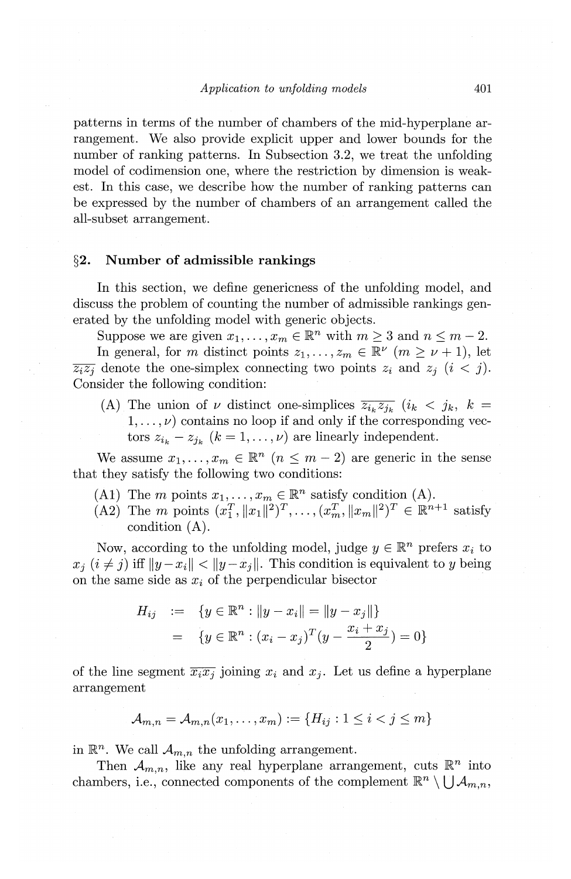patterns in terms of the number of chambers of the mid-hyperplane arrangement. We also provide explicit upper and lower bounds for the number of ranking patterns. In Subsection 3.2, we treat the unfolding model of codimension one, where the restriction by dimension is weakest. In this case, we describe how the number of ranking patterns can be expressed by the number of chambers of an arrangement called the all-subset arrangement.

#### **§2. Number of admissible rankings**

In this section, we define genericness of the unfolding model, and discuss the problem of counting the number of admissible rankings generated by the unfolding model with generic objects.

Suppose we are given  $x_1, \ldots, x_m \in \mathbb{R}^n$  with  $m \geq 3$  and  $n \leq m - 2$ . In general, for m distinct points  $z_1, \ldots, z_m \in \mathbb{R}^{\nu}$   $(m \geq \nu + 1)$ , let  $\overline{z_iz_j}$  denote the one-simplex connecting two points  $z_i$  and  $z_j$   $(i < j)$ . Consider the following condition:

(A) The union of *v* distinct one-simplices  $\overline{z_{i_k}z_{j_k}}$  ( $i_k < j_k$ ,  $k =$  $1, \ldots, \nu$  contains no loop if and only if the corresponding vectors  $z_{i_k} - z_{i_k}$   $(k = 1, ..., \nu)$  are linearly independent.

We assume  $x_1, \ldots, x_m \in \mathbb{R}^n$   $(n \leq m-2)$  are generic in the sense that they satisfy the following two conditions:

- (A1) The m points  $x_1, \ldots, x_m \in \mathbb{R}^n$  satisfy condition (A).
- (A2) The *m* points  $(x_1^T, \|x_1\|^2)^T, \ldots, (x_m^T, \|x_m\|^2)^T \in \mathbb{R}^{n+1}$  satisfy condition (A).

Now, according to the unfolding model, judge  $y \in \mathbb{R}^n$  prefers  $x_i$  to  $x_i$   $(i \neq j)$  iff  $||y-x_i|| < ||y-x_j||$ . This condition is equivalent to y being on the same side as  $x_i$  of the perpendicular bisector

$$
H_{ij} := \{ y \in \mathbb{R}^n : ||y - x_i|| = ||y - x_j|| \}
$$
  
= 
$$
\{ y \in \mathbb{R}^n : (x_i - x_j)^T (y - \frac{x_i + x_j}{2}) = 0 \}
$$

of the line segment  $\overline{x_ix_j}$  joining  $x_i$  and  $x_j$ . Let us define a hyperplane arrangement

$$
\mathcal{A}_{m,n} = \mathcal{A}_{m,n}(x_1, \dots, x_m) := \{ H_{ij} : 1 \le i < j \le m \}
$$

in  $\mathbb{R}^n$ . We call  $\mathcal{A}_{m,n}$  the unfolding arrangement.

Then  $\mathcal{A}_{m,n}$ , like any real hyperplane arrangement, cuts  $\mathbb{R}^n$  into chambers, i.e., connected components of the complement  $\mathbb{R}^n \setminus \bigcup \mathcal{A}_{m,n}$ ,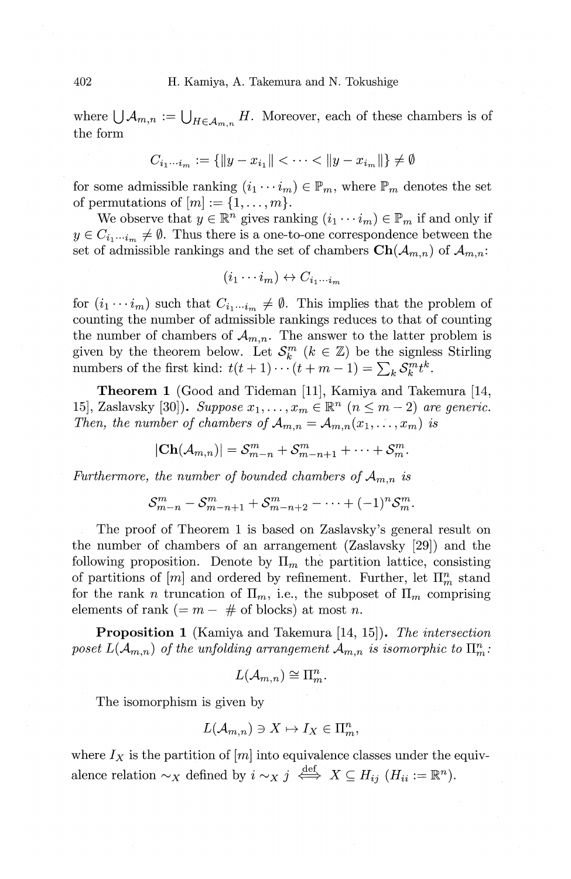where  $\bigcup A_{m,n} := \bigcup_{H \in \mathcal{A}_{m,n}} H$ . Moreover, each of these chambers is of the form '

$$
C_{i_1\cdots i_m} := \{ ||y - x_{i_1}|| < \cdots < ||y - x_{i_m}|| \} \neq \emptyset
$$

for some admissible ranking  $(i_1 \cdots i_m) \in \mathbb{P}_m$ , where  $\mathbb{P}_m$  denotes the set of permutations of  $[m] := \{1, \ldots, m\}.$ 

We observe that  $y \in \mathbb{R}^n$  gives ranking  $(i_1 \cdots i_m) \in \mathbb{P}_m$  if and only if  $y \in C_{i_1 \cdots i_m} \neq \emptyset$ . Thus there is a one-to-one correspondence between the set of admissible rankings and the set of chambers  $\text{Ch}(\mathcal{A}_{m,n})$  of  $\mathcal{A}_{m,n}$ :

$$
(i_1\cdots i_m)\leftrightarrow C_{i_1\cdots i_m}
$$

for  $(i_1 \cdots i_m)$  such that  $C_{i_1 \cdots i_m} \neq \emptyset$ . This implies that the problem of counting the number of admissible rankings reduces to that of counting the number of chambers of  $\mathcal{A}_{m,n}$ . The answer to the latter problem is given by the theorem below. Let  $\mathcal{S}_k^m$  ( $k \in \mathbb{Z}$ ) be the signless Stirling numbers of the first kind:  $t(t + 1) \cdots (t + m - 1) = \sum_{k} S_{k}^{m} t^{k}$ .

**Theorem 1** (Good and Tideman [11], Kamiya and Takemura **[14,**  15], Zaslavsky [30]). *Suppose*  $x_1, \ldots, x_m \in \mathbb{R}^n$   $(n \leq m-2)$  *are generic. Then, the number of chambers of*  $\mathcal{A}_{m,n} = \mathcal{A}_{m,n}(x_1, \ldots, x_m)$  *is* 

$$
|\mathbf{Ch}(\mathcal{A}_{m,n})|=\mathcal{S}_{m-n}^m+\mathcal{S}_{m-n+1}^m+\cdots+\mathcal{S}_m^m.
$$

*Furthermore, the number of bounded chambers of*  $A_{m,n}$  is

$$
\mathcal{S}_{m-n}^m-\mathcal{S}_{m-n+1}^m+\mathcal{S}_{m-n+2}^m-\cdots+(-1)^n\mathcal{S}_m^m.
$$

The proof of Theorem 1 is based on Zaslavsky's general result on the number of chambers of an arrangement (Zaslavsky [29]) and the following proposition. Denote by  $\Pi_m$  the partition lattice, consisting of partitions of  $[m]$  and ordered by refinement. Further, let  $\Pi_m^n$  stand for the rank *n* truncation of  $\Pi_m$ , i.e., the subposet of  $\Pi_m$  comprising elements of rank  $( = m - #$  of blocks) at most *n*.

**Proposition 1** (Kamiya and Takemura [14, 15]). *The intersection*  poset  $L(A_{m,n})$  of the unfolding arrangement  $A_{m,n}$  is isomorphic to  $\prod_{m=1}^{n}$ .

$$
L(\mathcal{A}_{m,n}) \cong \Pi^n_m.
$$

The isomorphism is given by

$$
L(\mathcal{A}_{m,n}) \ni X \mapsto I_X \in \Pi^n_m,
$$

where  $I_X$  is the partition of  $[m]$  into equivalence classes under the equivalence relation  $\sim_X$  defined by  $i \sim_X j \stackrel{\text{def}}{\iff} X \subseteq H_{ij}$  ( $H_{ii} := \mathbb{R}^n$ ).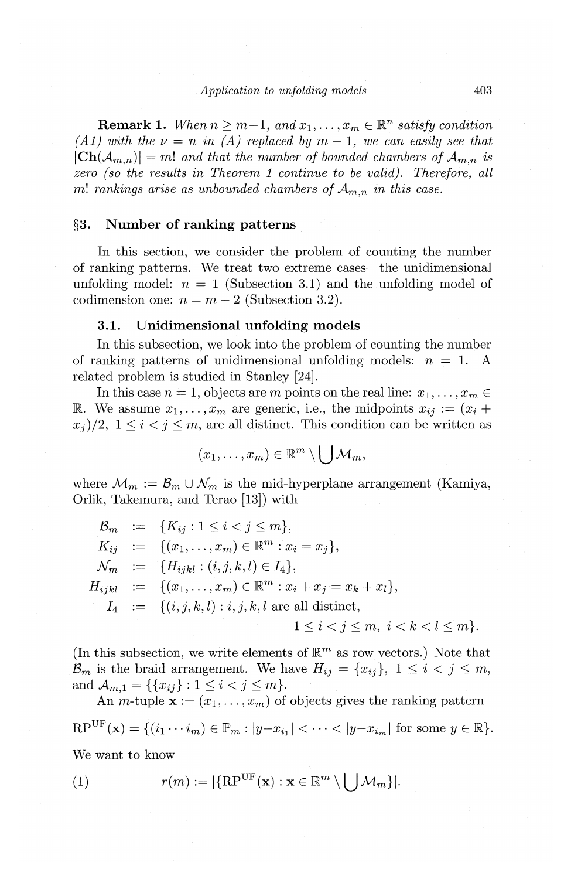**Remark 1.** *When*  $n \geq m-1$ , and  $x_1, \ldots, x_m \in \mathbb{R}^n$  satisfy condition *(A 1)* with the  $\nu = n$  in *(A)* replaced by  $m - 1$ , we can easily see that  $|\text{Ch}(\mathcal{A}_{m,n})|=m!$  and that the number of bounded chambers of  $\mathcal{A}_{m,n}$  is *zero (so the results in Theorem 1 continue to be valid). Therefore, all*  m! *rankings arise as unbounded chambers of*  $A_{m,n}$  *in this case.* 

## §3. Number of ranking patterns

In this section, we consider the problem of counting the number of ranking patterns. We treat two extreme cases—the unidimensional unfolding model:  $n = 1$  (Subsection 3.1) and the unfolding model of codimension one:  $n = m - 2$  (Subsection 3.2).

#### 3.1. Unidimensional unfolding models

In this subsection, we look into the problem of counting the number of ranking patterns of unidimensional unfolding models:  $n = 1$ . A related problem is studied in Stanley [24].

In this case  $n = 1$ , objects are *m* points on the real line:  $x_1, \ldots, x_m \in$ R. We assume  $x_1, \ldots, x_m$  are generic, i.e., the midpoints  $x_{ij} := (x_i +$  $x_i/2$ ,  $1 \le i < j \le m$ , are all distinct. This condition can be written as

$$
(x_1,\ldots,x_m)\in\mathbb{R}^m\setminus\bigcup\mathcal{M}_m,
$$

where  $\mathcal{M}_m := \mathcal{B}_m \cup \mathcal{N}_m$  is the mid-hyperplane arrangement (Kamiya, Orlik, Takemura, and Terao [13]) with

$$
\mathcal{B}_{m} := \{K_{ij} : 1 \leq i < j \leq m\},
$$
\n
$$
K_{ij} := \{ (x_1, \ldots, x_m) \in \mathbb{R}^m : x_i = x_j \},
$$
\n
$$
\mathcal{N}_{m} := \{ H_{ijkl} : (i, j, k, l) \in I_4 \},
$$
\n
$$
H_{ijkl} := \{ (x_1, \ldots, x_m) \in \mathbb{R}^m : x_i + x_j = x_k + x_l \},
$$
\n
$$
I_4 := \{ (i, j, k, l) : i, j, k, l \text{ are all distinct}, 1 \leq i < j \leq m, i < k < l \leq m \}.
$$

(In this subsection, we write elements of  $\mathbb{R}^m$  as row vectors.) Note that  $\mathcal{B}_m$  is the braid arrangement. We have  $H_{ij} = \{x_{ij}\}, 1 \leq i \leq j \leq m$ , and  $\mathcal{A}_{m,1} = \{\{x_{ij}\}: 1 \leq i < j \leq m\}.$ 

An *m*-tuple  $\mathbf{x} := (x_1, \ldots, x_m)$  of objects gives the ranking pattern  $RP^{UF}(\mathbf{x}) = \{ (i_1 \cdots i_m) \in \mathbb{P}_m : |y - x_{i_1}| < \cdots < |y - x_{i_m}| \text{ for some } y \in \mathbb{R} \}.$ We want to know

(1) 
$$
r(m) := |\{\mathbf{RP}^{\mathrm{UF}}(\mathbf{x}) : \mathbf{x} \in \mathbb{R}^m \setminus \bigcup \mathcal{M}_m\}|.
$$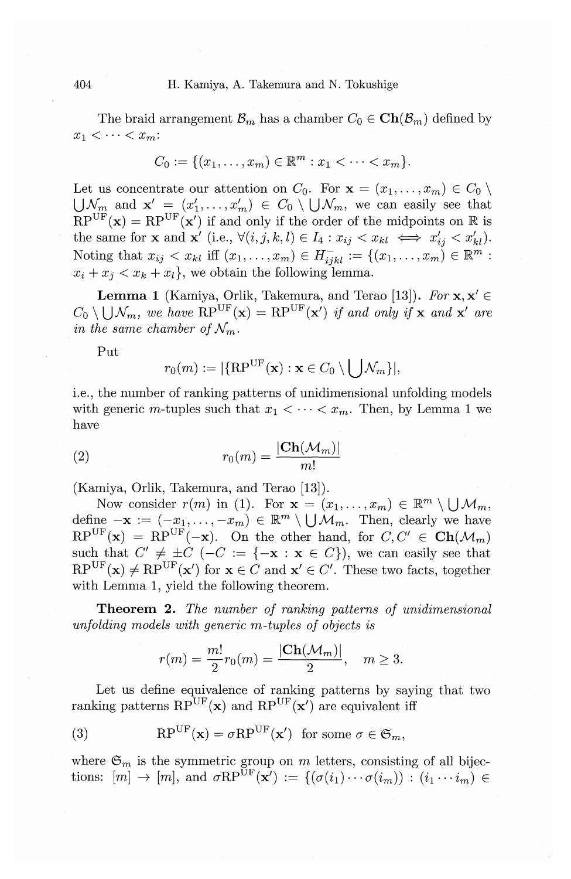The braid arrangement  $\mathcal{B}_m$  has a chamber  $C_0 \in \mathbf{Ch}(\mathcal{B}_m)$  defined by  $x_1 < \cdots < x_m$ :

$$
C_0 := \{ (x_1, \ldots, x_m) \in \mathbb{R}^m : x_1 < \cdots < x_m \}.
$$

Let us concentrate our attention on  $C_0$ . For  $\mathbf{x} = (x_1, \ldots, x_m) \in C_0 \setminus$  $\bigcup \mathcal{N}_m$  and  $\mathbf{x}' = (x'_1, \ldots, x'_m) \in C_0 \setminus \bigcup \mathcal{N}_m$ , we can easily see that  $RP^{\mathrm{UF}}(\mathbf{x}) = RP^{\mathrm{UF}}(\mathbf{x}')$  if and only if the order of the midpoints on  $\mathbb R$  is the same for **x** and **x**<sup>'</sup> (i.e.,  $\forall (i, j, k, l) \in I_4 : x_{ij} < x_{kl} \iff x'_{ij} < x'_{kl}$ ). Noting that  $x_{ij} < x_{kl}$  iff  $(x_1, \ldots, x_m) \in H_{ijkl}^- := \{(x_1, \ldots, x_m) \in \mathbb{R}^m : \ldots \}$  $x_i + x_j < x_k + x_l$ , we obtain the following lemma.

**Lemma 1** (Kamiya, Orlik, Takemura, and Terao [13]). *For*  $\mathbf{x}, \mathbf{x}' \in$  $C_0 \setminus \bigcup \mathcal{N}_m$ , we have  $\text{RP}^{\text{UF}}(\mathbf{x}) = \text{RP}^{\text{UF}}(\mathbf{x}')$  *if and only if* **x** *and* **x**' *are in the same chamber of*  $\mathcal{N}_m$ .

Put

$$
r_0(m) := |\{\mathrm{RP}^{\mathrm{UF}}(\mathbf{x}) : \mathbf{x} \in C_0 \setminus \bigcup \mathcal{N}_m\}|,
$$

i.e., the number of ranking patterns of unidimensional unfolding models with generic m-tuples such that  $x_1 < \cdots < x_m$ . Then, by Lemma 1 we have

$$
r_0(m) = \frac{|\mathbf{Ch}(\mathcal{M}_m)|}{m!}
$$

(Kamiya, Orlik, Takemura, and Terao [13]).

Now consider  $r(m)$  in (1). For  $\mathbf{x} = (x_1, \ldots, x_m) \in \mathbb{R}^m \setminus \bigcup \mathcal{M}_m$ , define  $-\mathbf{x} := (-x_1, \ldots, -x_m) \in \mathbb{R}^m \setminus \bigcup \mathcal{M}_m$ . Then, clearly we have  $RP^{UF}(\mathbf{x}) = RP^{UF}(-\mathbf{x})$ . On the other hand, for  $C, C' \in \mathbf{Ch}(\mathcal{M}_m)$ such that  $C' \neq \pm C$  ( $-C := \{-\mathbf{x} : \mathbf{x} \in C\}$ ), we can easily see that  $RP^{\text{UF}}(\mathbf{x}) \neq RP^{\text{UF}}(\mathbf{x}')$  for  $\mathbf{x} \in C$  and  $\mathbf{x}' \in C'$ . These two facts, together with Lemma 1, yield the following theorem.

**Theorem 2.** *The number of ranking patterns of unidimensional unfolding models with generic m-tuples of objects is* 

$$
r(m)=\frac{m!}{2}r_0(m)=\frac{|\text{Ch}(\mathcal{M}_m)|}{2}, \quad m\geq 3.
$$

Let us define equivalence of ranking patterns by saying that two ranking patterns  $RP^{UF}(\mathbf{x})$  and  $RP^{UF}(\mathbf{x}^{\prime})$  are equivalent iff

(3) 
$$
RP^{UF}(\mathbf{x}) = \sigma RP^{UF}(\mathbf{x}') \text{ for some } \sigma \in \mathfrak{S}_m,
$$

where  $\mathfrak{S}_m$  is the symmetric group on  $m$  letters, consisting of all bijections:  $[m] \to [m]$ , and  $\sigma \text{RP}^{\text{UF}}(\mathbf{x}') := \{(\sigma(i_1) \cdots \sigma(i_m)) : (i_1 \cdots i_m) \in$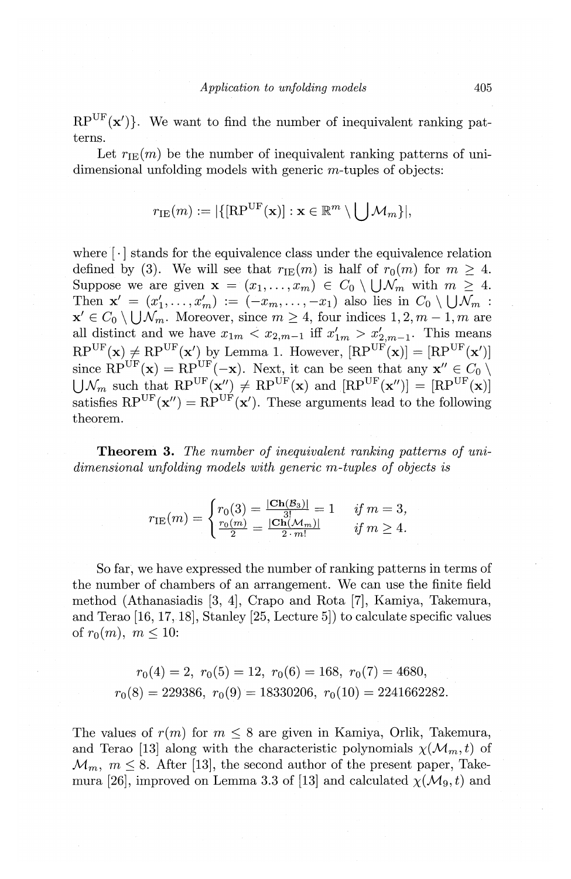$RP^{UF}(\mathbf{x}')$ . We want to find the number of inequivalent ranking patterns.

Let  $r_{\text{IE}}(m)$  be the number of inequivalent ranking patterns of unidimensional unfolding models with generic m-tuples of objects:

$$
r_{\text{IE}}(m) := |\{[\text{RP}^{\text{UF}}(\mathbf{x})]: \mathbf{x} \in \mathbb{R}^m \setminus \bigcup \mathcal{M}_m\}|,
$$

where  $\lceil \cdot \rceil$  stands for the equivalence class under the equivalence relation defined by (3). We will see that  $r_{\text{IE}}(m)$  is half of  $r_0(m)$  for  $m \geq 4$ . Suppose we are given  $\mathbf{x} = (x_1, \ldots, x_m) \in C_0 \setminus \bigcup \mathcal{N}_m$  with  $m \geq 4$ . Then  $\mathbf{x}' = (x'_1, \ldots, x'_m) := (-x_m, \ldots, -x_1)$  also lies in  $C_0 \setminus \bigcup \mathcal{N}_m$ :  $\mathbf{x}' \in C_0 \setminus \bigcup \mathcal{N}_m$ . Moreover, since  $m \geq 4$ , four indices  $1, 2, m-1, m$  are all distinct and we have  $x_{1m} < x_{2,m-1}$  iff  $x'_{1m} > x'_{2,m-1}$ . This means  $\text{RP}^{\text{UF}}(\mathbf{x}) \neq \text{RP}^{\text{UF}}(\mathbf{x}')$  by Lemma 1. However,  $[\text{RP}^{\text{UF}}(\mathbf{x})] = [\text{RP}^{\text{UF}}(\mathbf{x}')]$ since  $\mathrm{RP}^{\mathrm{UF}}(\mathbf{x}) = \mathrm{RP}^{\mathrm{UF}}(-\mathbf{x})$ . Next, it can be seen that any  $\mathbf{x}'' \in C_0 \setminus$  $\bigcup \mathcal{N}_m$  such that  $RP^{\mathrm{UF}}(\mathbf{x}^{\prime\prime}) \neq RP^{\mathrm{UF}}(\mathbf{x})$  and  $[RP^{\mathrm{UF}}(\mathbf{x}^{\prime\prime})] = [RP^{\mathrm{UF}}(\mathbf{x})]$ satisfies  $RP^{UF}(\mathbf{x}^{\prime}) = RP^{UF}(\mathbf{x}^{\prime})$ . These arguments lead to the following theorem.

**Theorem 3.** *The number of inequivalent ranking patterns of unidimensional unfolding models with generic m-tuples of objects is* 

$$
r_{\text{IE}}(m) = \begin{cases} r_0(3) = \frac{|\text{Ch}(\mathcal{B}_3)|}{3!} = 1 & \text{if } m = 3, \\ \frac{r_0(m)}{2} = \frac{|\text{Ch}(\mathcal{M}_m)|}{2 \cdot m!} & \text{if } m \ge 4. \end{cases}
$$

So far, we have expressed the number of ranking patterns in terms of the number of chambers of an arrangement. We can use the finite field method (Athanasiadis [3, 4], Crapo and Rota [7], Kamiya, Takemura, and Terao [16, 17, 18], Stanley [25, Lecture 5]) to calculate specific values of  $r_0(m)$ ,  $m \leq 10$ :

$$
r_0(4) = 2, r_0(5) = 12, r_0(6) = 168, r_0(7) = 4680,
$$
  

$$
r_0(8) = 229386, r_0(9) = 18330206, r_0(10) = 2241662282.
$$

The values of  $r(m)$  for  $m \leq 8$  are given in Kamiya, Orlik, Takemura, and Terao [13] along with the characteristic polynomials  $\chi(M_m, t)$  of  $\mathcal{M}_m$ ,  $m \leq 8$ . After [13], the second author of the present paper, Takemura [26], improved on Lemma 3.3 of [13] and calculated  $\chi(M_9, t)$  and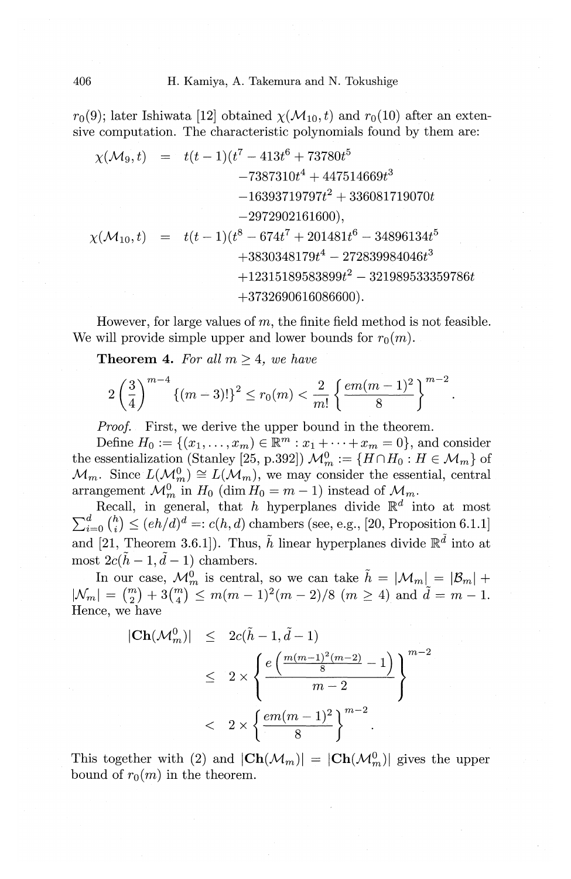$r_0(9)$ ; later Ishiwata [12] obtained  $\chi(\mathcal{M}_{10}, t)$  and  $r_0(10)$  after an extensive computation. The characteristic polynomials found by them are:

$$
\begin{array}{rcl}\n\chi(\mathcal{M}_9,t) &=& t(t-1)(t^7-413t^6+73780t^5\\
 &-7387310t^4+447514669t^3\\
 &-16393719797t^2+336081719070t\\
 & & \displaystyle -2972902161600),\\
\chi(\mathcal{M}_{10},t) &=& t(t-1)(t^8-674t^7+201481t^6-34896134t^5\\
 & &+3830348179t^4-272839984046t^3\\
 & &+12315189583899t^2-321989533359786t\\
 & &+3732690616086600).\n\end{array}
$$

However, for large values of *m,* the finite field method is not feasible. We will provide simple upper and lower bounds for  $r_0(m)$ .

**Theorem 4.** For all  $m \geq 4$ , we have

$$
2\left(\frac{3}{4}\right)^{m-4} \{(m-3)!\}^2 \le r_0(m) < \frac{2}{m!} \left\{ \frac{em(m-1)^2}{8} \right\}^{m-2}
$$

*Proof.* First, we derive the upper bound in the theorem.

Define  $H_0 := \{ (x_1, \ldots, x_m) \in \mathbb{R}^m : x_1 + \cdots + x_m = 0 \}$ , and consider the essentialization (Stanley [25, p.392])  $\mathcal{M}_m^0 := \{H \cap H_0 : H \in \mathcal{M}_m\}$  of  $\mathcal{M}_m$ . Since  $L(\mathcal{M}_m^0) \cong L(\mathcal{M}_m)$ , we may consider the essential, central arrangement  $\mathcal{M}_m^0$  in  $H_0$  (dim  $H_0 = m - 1$ ) instead of  $\mathcal{M}_m$ .

Recall, in general, that h hyperplanes divide  $\mathbb{R}^d$  into at most  $\sum_{i=0}^{a} {h \choose i} \le (eh/d)^d =: c(h, d)$  chambers (see, e.g., [20, Proposition 6.1.1] and [21, Theorem 3.6.1]). Thus,  $\tilde{h}$  linear hyperplanes divide  $\mathbb{R}^{\tilde{d}}$  into at most  $2c(\tilde{h}-1, \tilde{d}-1)$  chambers.

In our case,  $\mathcal{M}_{m}^{0}$  is central, so we can take  $\tilde{h} = |\mathcal{M}_{m}| = |\mathcal{B}_{m}| +$  $|\mathcal{N}_m| = \binom{m}{2} + 3\binom{m}{4} \leq m(m-1)^2(m-2)/8$   $(m \geq 4)$  and  $\tilde{d} = m-1$ . Hence, we have

$$
\begin{array}{rcl} |\mathbf{Ch}(\mathcal{M}_m^0)| & \leq & 2c(\tilde{h}-1,\tilde{d}-1) \\ \\ & \leq & 2 \times \left\{ \frac{e\left(\frac{m(m-1)^2(m-2)}{8}-1\right)}{m-2} \right\}^{m-2} \\ \\ & < & 2 \times \left\{ \frac{em(m-1)^2}{8} \right\}^{m-2} . \end{array}
$$

This together with (2) and  $|\text{Ch}(\mathcal{M}_m)| = |\text{Ch}(\mathcal{M}_m^0)|$  gives the upper bound of  $r_0(m)$  in the theorem.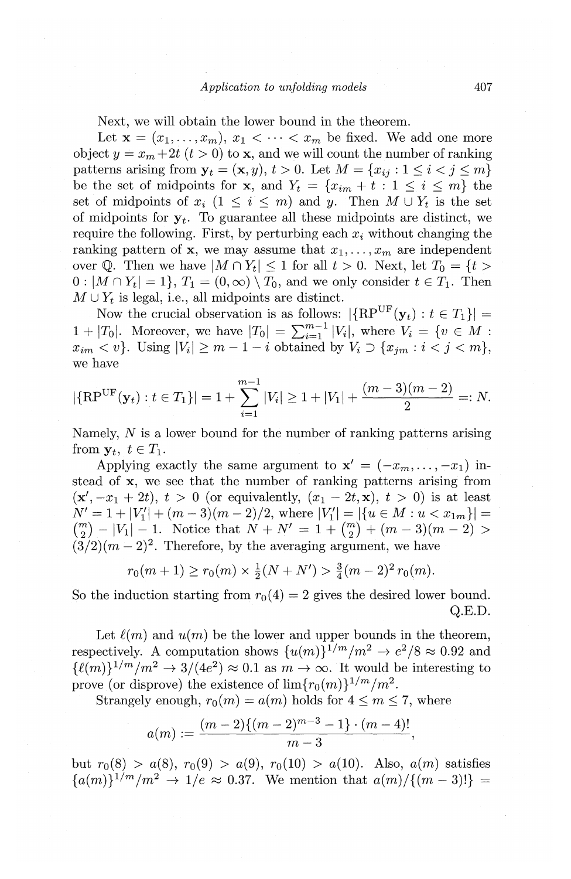Next, *we* will obtain the lower bound in the theorem.

Let  $\mathbf{x} = (x_1, \ldots, x_m), x_1 < \cdots < x_m$  be fixed. We add one more object  $y = x_m + 2t$   $(t > 0)$  to **x**, and we will count the number of ranking patterns arising from  $y_t = (x, y), t > 0$ . Let  $M = \{x_{ij} : 1 \leq i < j \leq m\}$ be the set of midpoints for **x**, and  $Y_t = \{x_{im} + t : 1 \leq i \leq m\}$  the set of midpoints of  $x_i$  ( $1 \leq i \leq m$ ) and *y*. Then  $M \cup Y_t$  is the set of midpoints for  $y_t$ . To guarantee all these midpoints are distinct, we require the following. First, by perturbing each  $x_i$  without changing the ranking pattern of **x**, we may assume that  $x_1, \ldots, x_m$  are independent over Q. Then we have  $|M \cap Y_t| \leq 1$  for all  $t > 0$ . Next, let  $T_0 = \{t >$  $0: |M \cap Y_t| = 1$ ,  $T_1 = (0, \infty) \setminus T_0$ , and we only consider  $t \in T_1$ . Then  $M \cup Y_t$  is legal, i.e., all midpoints are distinct.

Now the crucial observation is as follows:  $|\{RP^{UF}(\mathbf{y}_t): t \in T_1\}|$ 1 + |T<sub>0</sub>|. Moreover, we have  $|T_0| = \sum_{i=1}^{m-1} |V_i|$ , where  $V_i = \{v \in M :$  $x_{im} < v$ . Using  $|V_i| \geq m - 1 - i$  obtained by  $V_i \supset \{x_{im}: i < j < m\},$ *we* have

$$
|\{\text{RP}^{\text{UF}}(\mathbf{y}_t): t \in T_1\}| = 1 + \sum_{i=1}^{m-1} |V_i| \ge 1 + |V_1| + \frac{(m-3)(m-2)}{2} =: N.
$$

Namely, N is a lower bound for the number of ranking patterns arising from  $y_t$ ,  $t \in T_1$ .

Applying exactly the same argument to  $\mathbf{x}' = (-x_m, \dots, -x_1)$  instead of x, *we see* that the number of ranking patterns arising from  $(\mathbf{x}', -x_1 + 2t), t > 0$  (or equivalently,  $(x_1 - 2t, \mathbf{x}), t > 0$ ) is at least  $N' = 1 + |V_1'| + (m-3)(m-2)/2$ , where  $|V_1'| = |\{u \in M : u < x_{1m}\}| =$  ${m \choose 2} - |V_1| - 1$ . Notice that  $N + N' = 1 + {m \choose 2} + (m-3)(m-2)$  $(3/2)(m-2)^2$ . Therefore, by the averaging argument, we have

$$
r_0(m+1) \ge r_0(m) \times \frac{1}{2}(N+N') > \frac{3}{4}(m-2)^2 r_0(m).
$$

So the induction starting from  $r_0(4) = 2$  gives the desired lower bound. Q.E.D.

Let  $\ell(m)$  and  $u(m)$  be the lower and upper bounds in the theorem, respectively. A computation shows  $\{u(m)\}^{1/m}/m^2 \rightarrow e^2/8 \approx 0.92$  and  $\{\ell(m)\}^{1/m}/m^2 \rightarrow 3/(4e^2) \approx 0.1$  as  $m \rightarrow \infty$ . It would be interesting to prove (or disprove) the existence of  $\lim\{r_0(m)\}^{1/m}/m^2$ .

Strangely enough,  $r_0(m) = a(m)$  holds for  $4 \le m \le 7$ , where

$$
a(m):=\frac{(m-2)\{(m-2)^{m-3}-1\}\cdot(m-4)!}{m-3},
$$

but  $r_0(8) > a(8)$ ,  $r_0(9) > a(9)$ ,  $r_0(10) > a(10)$ . Also,  $a(m)$  satisfies  ${a(m)}^{\frac{1}{m}}{m^2} \to 1/e \approx 0.37$ . We mention that  $a(m)/{(m-3)!} =$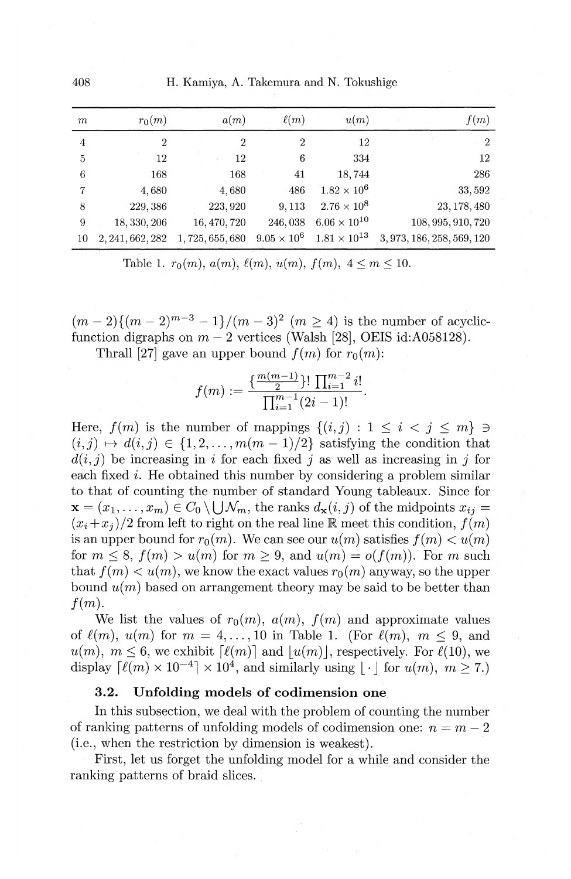408 H. Kamiya, A. Takemura and N. Tokushige

| m  | $r_0(m)$         | a(m)             | $\ell(m)$      | u(m)                                     | f(m)                       |
|----|------------------|------------------|----------------|------------------------------------------|----------------------------|
| 4  | $\overline{2}$   | $\boldsymbol{2}$ | $\overline{2}$ | 12                                       | $\overline{2}$             |
| 5  | 12               | 12               | 6              | 334                                      | 12                         |
| 6  | 168              | 168              | 41             | 18,744                                   | 286                        |
| 7  | 4,680            | 4,680            | 486            | $1.82 \times 10^{6}$                     | 33,592                     |
| 8  | 229,386          | 223, 920         | 9,113          | $2.76 \times 10^{8}$                     | 23, 178, 480               |
| 9  | 18, 330, 206     | 16, 470, 720     |                | 246, 038 6.06 $\times$ 10 <sup>10</sup>  | 108, 995, 910, 720         |
| 10 | 2, 241, 662, 282 | 1,725,655,680    |                | $9.05 \times 10^6$ $1.81 \times 10^{13}$ | 3, 973, 186, 258, 569, 120 |

Table 1.  $r_0(m)$ ,  $a(m)$ ,  $\ell(m)$ ,  $u(m)$ ,  $f(m)$ ,  $4 \le m \le 10$ .

 $(m-2){(m-2)^{m-3} - 1}/(m-3)^2$   $(m \ge 4)$  is the number of acyclicfunction digraphs on  $m-2$  vertices (Walsh [28], OEIS id:A058128).

Thrall [27] gave an upper bound  $f(m)$  for  $r_0(m)$ :

$$
f(m) := \frac{\{\frac{m(m-1)}{2}\}! \prod_{i=1}^{m-2} i!}{\prod_{i=1}^{m-1} (2i-1)!}.
$$

Here,  $f(m)$  is the number of mappings  $\{(i, j) : 1 \le i < j \le m\} \ni$  $(i, j) \mapsto d(i, j) \in \{1, 2, \ldots, m(m-1)/2\}$  satisfying the condition that  $d(i, j)$  be increasing in i for each fixed j as well as increasing in j for each fixed  $i$ . He obtained this number by considering a problem similar to that of counting the number of standard Young tableaux. Since for  $\mathbf{x} = (x_1, \ldots, x_m) \in C_0 \setminus \bigcup \mathcal{N}_m$ , the ranks  $d_{\mathbf{x}}(i, j)$  of the midpoints  $x_{ij} =$  $(x_i+x_i)/2$  from left to right on the real line  $\mathbb R$  meet this condition,  $f(m)$ is an upper bound for  $r_0(m)$ . We can see our  $u(m)$  satisfies  $f(m) < u(m)$ for  $m \leq s$ ,  $f(m) > u(m)$  for  $m > 9$ , and  $u(m) = o(f(m))$ . For m such that  $f(m) < u(m)$ , we know the exact values  $r_0(m)$  anyway, so the upper bound  $u(m)$  based on arrangement theory may be said to be better than  $f(m)$ .

We list the values of  $r_0(m)$ ,  $a(m)$ ,  $f(m)$  and approximate values of  $\ell(m)$ ,  $u(m)$  for  $m = 4, \ldots, 10$  in Table 1. (For  $\ell(m)$ ,  $m \leq 9$ , and  $u(m)$ ,  $m \leq 6$ , we exhibit  $\lceil \ell(m) \rceil$  and  $|u(m)|$ , respectively. For  $\ell(10)$ , we display  $\lceil \ell(m) \times 10^{-4} \rceil \times 10^4$ , and similarly using  $\lceil \cdot \rceil$  for  $u(m)$ ,  $m > 7$ .)

### **3.2. Unfolding models of codimension one**

In this subsection, we deal with the problem of counting the number of ranking patterns of unfolding models of codimension one:  $n = m - 2$ (i.e., when the restriction by dimension is weakest).

First, let us forget the unfolding model for a while and consider the ranking patterns of braid slices.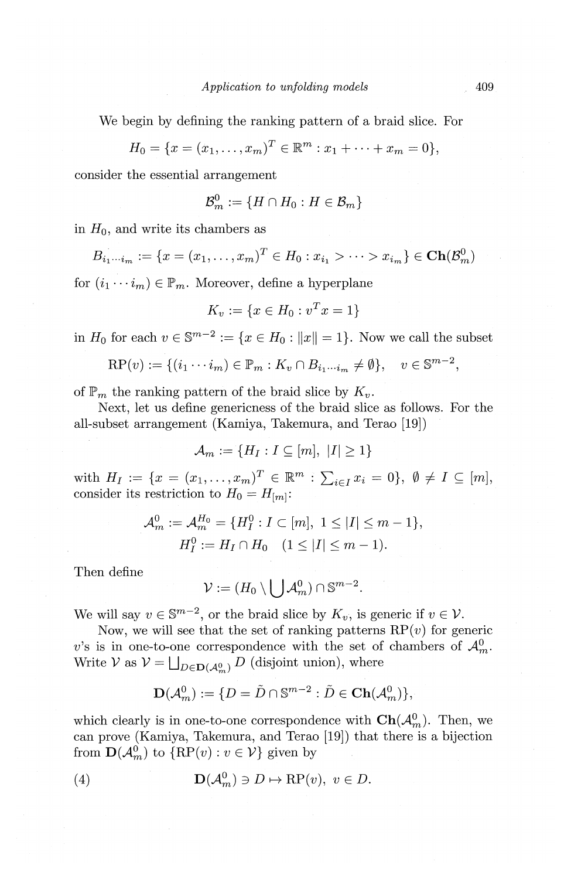We begin by defining the ranking pattern of a braid slice. For

$$
H_0 = \{x = (x_1, \dots, x_m)^T \in \mathbb{R}^m : x_1 + \dots + x_m = 0\},\
$$

consider the essential arrangement

$$
\mathcal{B}^0_m:=\{H\cap H_0: H\in\mathcal{B}_m\}
$$

in  $H_0$ , and write its chambers as

$$
B_{i_1\cdots i_m} := \{x = (x_1, \ldots, x_m)^T \in H_0 : x_{i_1} > \cdots > x_{i_m}\} \in \mathbf{Ch}(\mathcal{B}_m^0)
$$

for  $(i_1 \cdots i_m) \in \mathbb{P}_m$ . Moreover, define a hyperplane

$$
K_v := \{ x \in H_0 : v^T x = 1 \}
$$

in  $H_0$  for each  $v \in \mathbb{S}^{m-2} := \{x \in H_0 : ||x|| = 1\}$ . Now we call the subset

$$
\mathrm{RP}(v) := \{ (i_1 \cdots i_m) \in \mathbb{P}_m : K_v \cap B_{i_1 \cdots i_m} \neq \emptyset \}, \quad v \in \mathbb{S}^{m-2},
$$

of  $\mathbb{P}_m$  the ranking pattern of the braid slice by  $K_v$ .

Next, let us define genericness of the braid slice as follows. For the all-subset arrangement (Kamiya, Takemura, and. Terao [19])

$$
\mathcal{A}_m := \{H_I : I \subseteq [m], |I| \ge 1\}
$$

with  $H_I := \{x = (x_1, \ldots, x_m)^T \in \mathbb{R}^m : \sum_{i \in I} x_i = 0\}, \ \emptyset \neq I \subseteq [m],$ consider its restriction to  $H_0 = H_{[m]}$ :

$$
\mathcal{A}_{m}^{0} := \mathcal{A}_{m}^{H_{0}} = \{H_{I}^{0} : I \subset [m], 1 \leq |I| \leq m - 1\},
$$
  

$$
H_{I}^{0} := H_{I} \cap H_{0} \quad (1 \leq |I| \leq m - 1).
$$

Then define

$$
\mathcal{V} := (H_0 \setminus \bigcup \mathcal{A}_m^0) \cap \mathbb{S}^{m-2}.
$$

We will say  $v \in \mathbb{S}^{m-2}$ , or the braid slice by  $K_v$ , is generic if  $v \in V$ .

Now, we will see that the set of ranking patterns  $RP(v)$  for generic v's is in one-to-one correspondence with the set of chambers of  $\mathcal{A}_{m}^{0}$ . Write *V* as  $V = \bigsqcup_{D \in \mathbf{D}(\mathcal{A}_{\infty}^0)} D$  (disjoint union), where

$$
\mathbf{D}(\mathcal{A}_m^0):=\{D=\tilde{D}\cap\mathbb{S}^{m-2}:\tilde{D}\in\mathbf{Ch}(\mathcal{A}_m^0)\},
$$

which clearly is in one-to-one correspondence with  $\mathbf{Ch}(\mathcal{A}_m^0)$ . Then, we can prove (Kamiya, Takemura, and Terao [19]) that there is a bijection from  $\mathbf{D}(\mathcal{A}_m^0)$  to  $\{RP(v): v \in \mathcal{V}\}\$  given by

(4) 
$$
\mathbf{D}(\mathcal{A}_m^0) \ni D \mapsto \mathrm{RP}(v), \ v \in D.
$$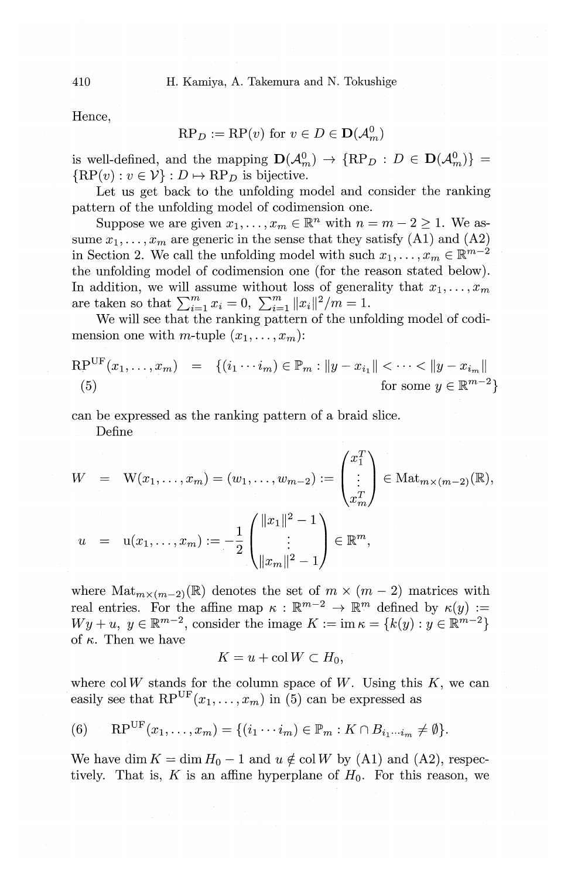Hence,

$$
\mathrm{RP}_D := \mathrm{RP}(v) \text{ for } v \in D \in \mathbf{D}(\mathcal{A}_m^0)
$$

is well-defined, and the mapping  $\mathbf{D}(\mathcal{A}_{m}^{0}) \to \{RP_D : D \in \mathbf{D}(\mathcal{A}_{m}^{0})\}$  ${RP(v): v \in V} : D \mapsto RP_D$  is bijective.

Let us get back to the unfolding model and consider the ranking pattern of the unfolding model of codimension one.

Suppose we are given  $x_1, \ldots, x_m \in \mathbb{R}^n$  with  $n = m - 2 \geq 1$ . We assume  $x_1, \ldots, x_m$  are generic in the sense that they satisfy (A1) and (A2) in Section 2. We call the unfolding model with such  $x_1, \ldots, x_m \in \mathbb{R}^{m-2}$ the unfolding model of codimension one (for the reason stated below). In addition, we will assume without loss of generality that  $x_1, \ldots, x_m$ are taken so that  $\sum_{i=1}^{m} x_i = 0$ ,  $\sum_{i=1}^{m} ||x_i||^2/m = 1$ .

We will see that the ranking pattern of the unfolding model of codimension one with m-tuple  $(x_1, \ldots, x_m)$ :

$$
RP^{UF}(x_1, ..., x_m) = \{(i_1 \cdots i_m) \in \mathbb{P}_m : ||y - x_{i_1}|| < \cdots < ||y - x_{i_m}||
$$
  
(5) for some  $y \in \mathbb{R}^{m-2}$ 

can be expressed as the ranking pattern of a braid slice.

Define

$$
W = W(x_1, ..., x_m) = (w_1, ..., w_{m-2}) := \begin{pmatrix} x_1^T \\ \vdots \\ x_m^T \end{pmatrix} \in \text{Mat}_{m \times (m-2)}(\mathbb{R}),
$$
  

$$
u = u(x_1, ..., x_m) := -\frac{1}{2} \begin{pmatrix} ||x_1||^2 - 1 \\ \vdots \\ ||x_m||^2 - 1 \end{pmatrix} \in \mathbb{R}^m,
$$

where  $\text{Mat}_{m \times (m-2)}(\mathbb{R})$  denotes the set of  $m \times (m-2)$  matrices with real entries. For the affine map  $\kappa : \mathbb{R}^{m-2} \to \mathbb{R}^m$  defined by  $\kappa(y) :=$  $Wy + u, y \in \mathbb{R}^{m-2}$ , consider the image  $K := \text{im } \kappa = \{k(y) : y \in \mathbb{R}^{m-2}\}\$ of  $\kappa$ . Then we have

$$
K = u + \operatorname{col} W \subset H_0,
$$

where  $col W$  stands for the column space of  $W$ . Using this  $K$ , we can easily see that  $RP^{UF}(x_1, \ldots, x_m)$  in (5) can be expressed as

$$
(6) \qquad \mathrm{RP}^{\mathrm{UF}}(x_1,\ldots,x_m)=\{(i_1\cdots i_m)\in\mathbb{P}_m: K\cap B_{i_1\cdots i_m}\neq\emptyset\}.
$$

We have dim  $K = \dim H_0 - 1$  and  $u \notin \text{col } W$  by (A1) and (A2), respectively. That is, K is an affine hyperplane of  $H_0$ . For this reason, we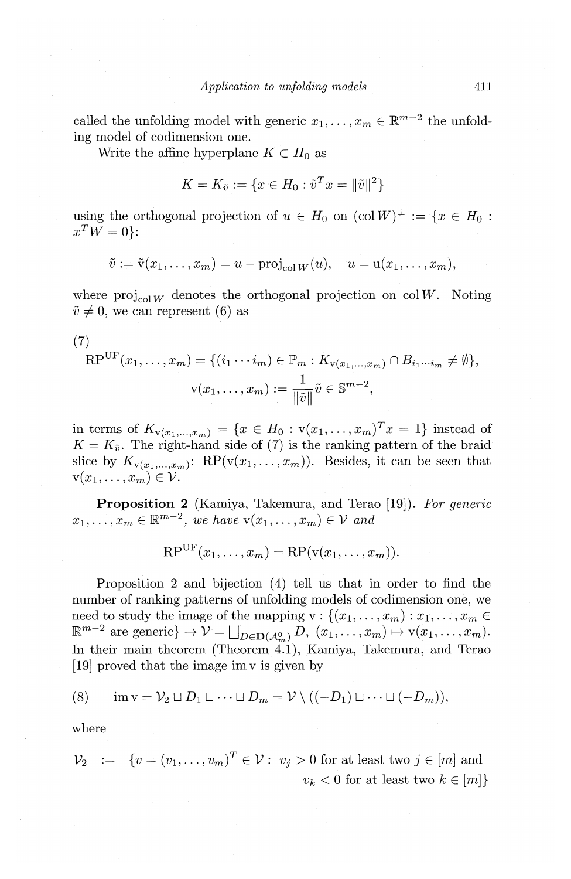called the unfolding model with generic  $x_1, \ldots, x_m \in \mathbb{R}^{m-2}$  the unfolding model of codimension one.

Write the affine hyperplane  $K \subset H_0$  as

$$
K = K_{\tilde{v}} := \{ x \in H_0 : \tilde{v}^T x = ||\tilde{v}||^2 \}
$$

using the orthogonal projection of  $u \in H_0$  on  $(\text{col } W)^{\perp} := \{x \in H_0 :$  $x^T W = 0$ :

$$
\tilde{v} := \tilde{v}(x_1, \dots, x_m) = u - \text{proj}_{\text{col }W}(u), \quad u = u(x_1, \dots, x_m),
$$

where  $\text{proj}_{\text{col }W}$  denotes the orthogonal projection on col *W*. Noting  $\tilde{v} \neq 0$ , we can represent (6) as

(7)  
\n
$$
RP^{UF}(x_1,...,x_m) = \{(i_1 \cdots i_m) \in \mathbb{P}_m : K_{v(x_1,...,x_m)} \cap B_{i_1...i_m} \neq \emptyset\},
$$
\n
$$
v(x_1,...,x_m) := \frac{1}{\|\tilde{v}\|} \tilde{v} \in \mathbb{S}^{m-2},
$$

in terms of  $K_{v(x_1,...,x_m)} = \{x \in H_0 : v(x_1,...,x_m)^T x = 1\}$  instead of  $K = K_{\tilde{v}}$ . The right-hand side of (7) is the ranking pattern of the braid slice by  $K_{\mathbf{v}(x_1, \ldots, x_m)}$ : RP( $\mathbf{v}(x_1, \ldots, x_m)$ ). Besides, it can be seen that  $v(x_1, \ldots, x_m) \in \mathcal{V}$ .

**Proposition 2** (Kamiya, Takemura, and Terao [19]). *For generic*   $x_1, \ldots, x_m \in \mathbb{R}^{m-2}$ , we have  $\mathbf{v}(x_1, \ldots, x_m) \in \mathcal{V}$  and

$$
RP^{UF}(x_1,\ldots,x_m) = RP(v(x_1,\ldots,x_m)).
$$

Proposition 2 and bijection (4) tell us that in order to find the number of ranking patterns of unfolding models of codimension one, we need to study the image of the mapping  $v: \{(x_1, \ldots, x_m) : x_1, \ldots, x_m \in$  $\mathbb{R}^{m-2}$  are generic}  $\rightarrow \mathcal{V} = \bigsqcup_{D \in \mathbf{D}(\mathcal{A}_{\infty}^0)} D, (x_1, \ldots, x_m) \mapsto \mathbf{v}(x_1, \ldots, x_m).$ In their main theorem (Theorem 4.1), Kamiya, Takemura, and Terao [19] proved that the image im v is given by

$$
(8) \qquad \text{im } v = \mathcal{V}_2 \sqcup D_1 \sqcup \cdots \sqcup D_m = \mathcal{V} \setminus ((-D_1) \sqcup \cdots \sqcup (-D_m)),
$$

where

$$
\mathcal{V}_2 \quad := \quad \{v = (v_1, \dots, v_m)^T \in \mathcal{V} : \ v_j > 0 \text{ for at least two } j \in [m] \text{ and } \quad v_k < 0 \text{ for at least two } k \in [m] \}
$$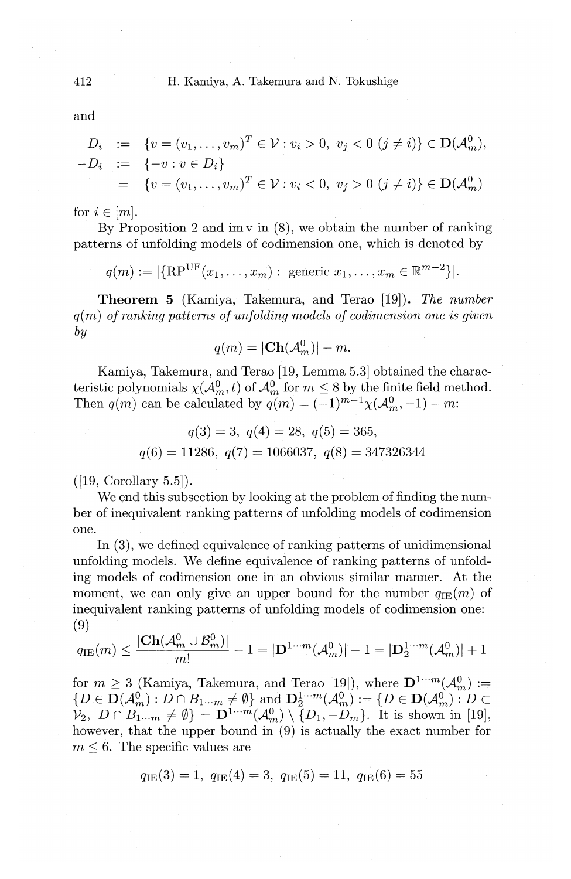and

$$
D_i := \{ v = (v_1, \dots, v_m)^T \in \mathcal{V} : v_i > 0, v_j < 0 \ (j \neq i) \} \in \mathbf{D}(\mathcal{A}_m^0),
$$
  
-D<sub>i</sub> := \{-v : v \in D\_i\}  
= \{ v = (v\_1, \dots, v\_m)^T \in \mathcal{V} : v\_i < 0, v\_j > 0 \ (j \neq i) \} \in \mathbf{D}(\mathcal{A}\_m^0)

for  $i \in [m]$ .

By Proposition 2 and im  $\mathbf{v}$  in  $(8)$ , we obtain the number of ranking patterns of unfolding models of codimension one, which is denoted by

$$
q(m) := |\{\text{RP}^{\text{UF}}(x_1, ..., x_m) : \text{ generic } x_1, ..., x_m \in \mathbb{R}^{m-2}\}|.
$$

**Theorem 5** (Kamiya, Takemura, and Terao [19]). *The number q(* m) *of ranking patterns of unfolding models of codimension one is given by* 

$$
q(m) = |\mathbf{Ch}(\mathcal{A}_m^0)| - m.
$$

Kamiya, Takemura, and Terao [19, Lemma 5.3] obtained the characteristic polynomials  $\chi(\mathcal{A}_{m}^{0},t)$  of  $\mathcal{A}_{m}^{0}$  for  $m\leq 8$  by the finite field method. Then  $q(m)$  can be calculated by  $q(m) = (-1)^{m-1}\chi(\mathcal{A}_m^0, -1)-m$ :

$$
q(3) = 3, q(4) = 28, q(5) = 365,
$$
  

$$
q(6) = 11286, q(7) = 1066037, q(8) = 347326344
$$

 $([19, Corollary 5.5]).$ 

We end this subsection by looking at the problem of finding the number of inequivalent ranking patterns of unfolding models of codimension one.

In  $(3)$ , we defined equivalence of ranking patterns of unidimensional unfolding models. We define equivalence of ranking patterns of unfolding models of codimension one in an obvious similar manner. At the moment, we can only give an upper bound for the number  $q_{\text{IE}}(m)$  of inequivalent ranking patterns of unfolding models of codimension one: (9)

$$
q_{\text{IE}}(m) \le \frac{|\mathbf{Ch}(\mathcal{A}_m^0 \cup \mathcal{B}_m^0)|}{m!} - 1 = |\mathbf{D}^{1 \cdots m}(\mathcal{A}_m^0)| - 1 = |\mathbf{D}_2^{1 \cdots m}(\mathcal{A}_m^0)| + 1
$$

for  $m \geq 3$  (Kamiya, Takemura, and Terao [19]), where  $\mathbf{D}^{1 \cdots m}(\mathcal{A}_{m}^{0}) :=$  ${D \in \mathbf{D}(\mathcal{A}_{m}^{0}): D \cap B_{1\cdots m} \neq \emptyset}$  and  $\mathbf{D}_{2}^{1\cdots m}(\mathcal{A}_{m}^{0}):={D \in \mathbf{D}(\mathcal{A}_{m}^{0}): D \subset$  $\mathcal{V}_2, D \cap B_{1\cdots m}^{\cdots} \neq \emptyset$  =  $\mathbf{D}^{1\cdots m}(\mathcal{A}_m^0) \setminus \{D_1, -D_m\}$ . It is shown in [19], however, that the upper bound in (9) is actually the exact number for  $m \leq 6$ . The specific values are

$$
q_{\text{IE}}(3) = 1
$$
,  $q_{\text{IE}}(4) = 3$ ,  $q_{\text{IE}}(5) = 11$ ,  $q_{\text{IE}}(6) = 55$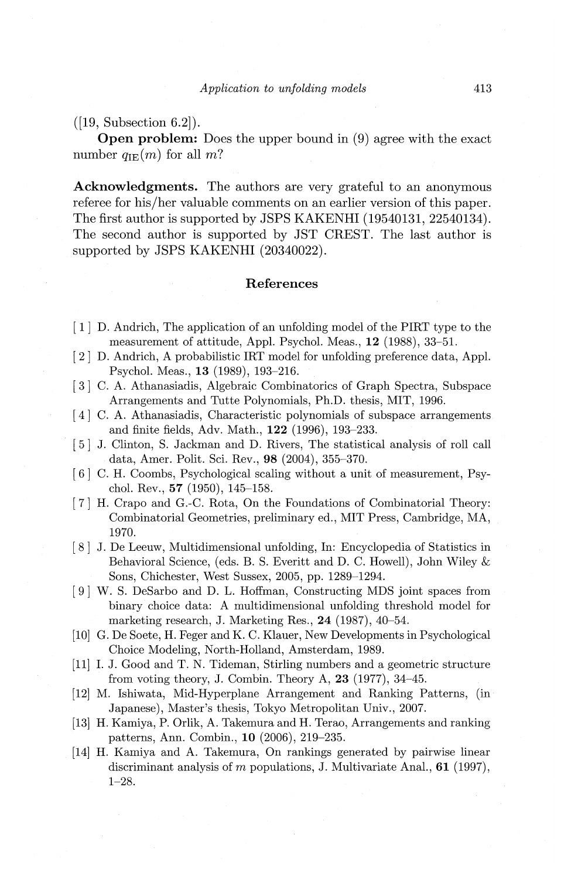([19, Subsection 6.2]).

Open problem: Does the upper bound in (9) agree with the exact number  $q_{\text{IE}}(m)$  for all m?

Acknowledgments. The authors are very grateful to an anonymous referee for his/her valuable comments on an earlier version of this paper. The first author is supported by JSPS KAKENHI (19540131, 22540134). The second author is supported by JST CREST. The last author is supported by JSPS KAKENHI (20340022).

## References

- [ 1] D. Andrich, The application of an unfolding model of the PIRT type to the measurement of attitude, Appl. Psychol. Meas., 12 (1988), 33-51.
- [ 2] D. Andrich, A probabilistic IRT model for unfolding preference data, Appl. Psychol. Meas., 13 (1989), 193-216.
- [ 3] C. A. Athanasiadis, Algebraic Combinatorics of Graph Spectra, Subspace Arrangements and Tutte Polynomials, Ph.D. thesis, MIT, 1996.
- [4] C. A. Athanasiadis, Characteristic polynomials of subspace arrangements and finite fields, Adv. Math., 122 (1996), 193-233.
- [5] J. Clinton, S. Jackman and D. Rivers, The statistical analysis of roll call data, Amer. Polit. Sci. Rev., 98 (2004), 355-370.
- [ 6] C. H. Coombs, Psychological scaling without a unit of measurement, Psychol. Rev., 57 (1950), 145-158.
- [ 7] H. Crapo and G.-C. Rota, On the Foundations of Combinatorial Theory: Combinatorial Geometries, preliminary ed., MIT Press, Cambridge, MA, 1970.
- [8] J. De Leeuw, Multidimensional unfolding, In: Encyclopedia of Statistics in Behavioral Science, (eds. B. S. Everitt and D. C. Howell), John Wiley & Sons, Chichester, West Sussex, 2005, pp. 1289-1294.
- [ 9] W. S. DeSarbo and D. L. Hoffman, Constructing MDS joint spaces from binary choice data: A multidimensional unfolding threshold model for marketing research, J. Marketing Res., 24 (1987), 40-54.
- [10] G. De Soete, H. Feger and K. C. Klauer, New Developments in Psychological Choice Modeling, North-Holland, Amsterdam, 1989.
- [11] I. J. Good and T. N. Tideman, Stirling numbers and a geometric structure from voting theory, J. Combin. Theory A, 23 (1977), 34-45.
- [12] M. Ishiwata, Mid-Hyperplane Arrangement and Ranking Patterns, (in Japanese), Master's thesis, Tokyo Metropolitan Univ., 2007.
- [13] H. Kamiya, P. Orlik, A. Takemura and H. Terao, Arrangements and ranking patterns, Ann. Combin., 10 (2006), 219-235.
- [14] H. Kamiya and A. Takemura, On rankings generated by pairwise linear discriminant analysis of *m* populations, J. Multivariate Anal., **61** (1997), 1-28.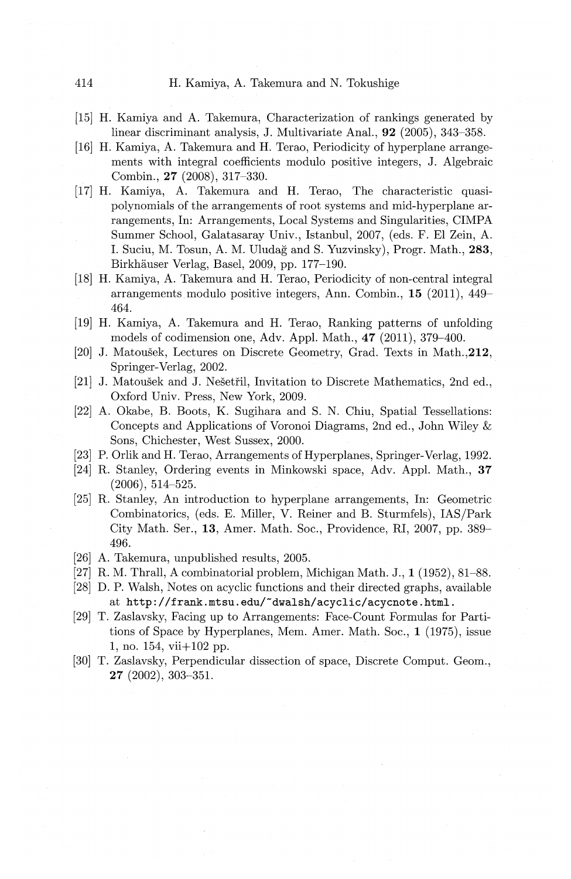#### 414 H. Kamiya, A. Takemura and N. Tokushige

- [15] H. Kamiya and A. Takemura, Characterization of rankings generated by linear discriminant analysis, J. Multivariate Anal., 92 (2005), 343-358.
- [16] H. Kamiya, A. Takemura and H. Terao, Periodicity of hyperplane arrangements with integral coefficients modulo positive integers, J. Algebraic Combin., **27** (2008), 317-330.
- [17] H. Kamiya, A. Takemura and H. Terao, The characteristic quasipolynomials of the arrangements of root systems and mid-hyperplane arrangements, In: Arrangements, Local Systems and Singularities, CIMPA Summer School, Galatasaray Univ., Istanbul, 2007, (eds. F. El Zein, A. I. Suciu, M. Tosun, A. M. Uludag and S. Yuzvinsky), Progr. Math., 283, Birkhauser Verlag, Basel, 2009, pp. 177-190.
- [18] H. Kamiya, A. Takemura and H. Terao, Periodicity of non-central integral arrangements modulo positive integers, Ann. Combin., 15 (2011), 449- 464.
- [19] H. Kamiya, A. Takemura and H. Terao, Ranking patterns of unfolding models of codimension one, Adv. Appl. Math., **47** (2011), 379-400.
- [20] J. Matoušek, Lectures on Discrete Geometry, Grad. Texts in Math., 212, Springer-Verlag, 2002.
- [21] J. Matoušek and J. Nešetřil, Invitation to Discrete Mathematics, 2nd ed., Oxford Univ. Press, New York, 2009.
- [22] A. Okabe, B. Boots, K. Sugihara and S. N. Chiu, Spatial Tessellations: Concepts and Applications of Voronoi Diagrams, 2nd ed., John Wiley & Sons, Chichester, West Sussex, 2000.
- [23] P. Orlik and H. Terao, Arrangements of Hyperplanes, Springer-Verlag, 1992.
- [24] R. Stanley, Ordering events in Minkowski space, Adv. Appl. Math., 37 (2006), 514-525.
- [25] R. Stanley, An introduction to hyperplane arrangements, In: Geometric Combinatorics, (eds. E. Miller, V. Reiner and B. Sturmfels), lAS/Park City Math. Ser., **13,** Amer. Math. Soc., Providence, RI, 2007, pp. 389- 496.
- [26] A. Takemura, unpublished results, 2005.
- [27] R. M. Thrall, A combinatorial problem, Michigan Math. J., **1** (1952), 81-88.
- [28] D.P. Walsh, Notes on acyclic functions and their directed graphs, available at http://frank.mtsu.edu/~dwalsh/acyclic/acycnote.html.
- [29] T. Zaslavsky, Facing up to Arrangements: Face-Count Formulas for Partitions of Space by Hyperplanes, Mem. Amer. Math. Soc., **1** (1975), issue 1, no. 154, vii+l02 pp.
- [30] T. Zaslavsky, Perpendicular dissection of space, Discrete Comput. Geom., **27** (2002), 303-351.